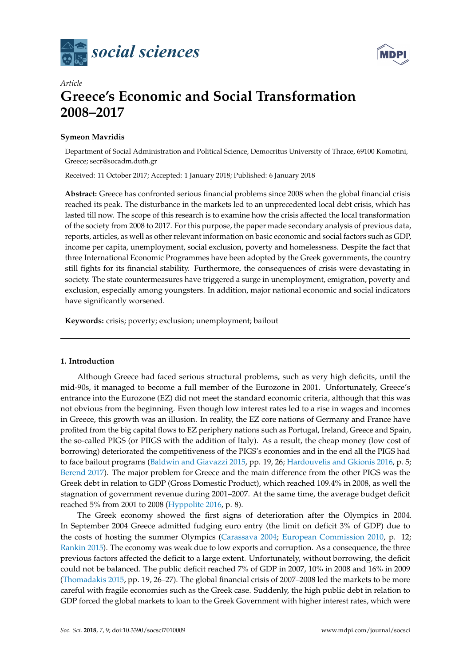



# *Article* **Greece's Economic and Social Transformation 2008–2017**

## **Symeon Mavridis**

Department of Social Administration and Political Science, Democritus University of Thrace, 69100 Komotini, Greece; secr@socadm.duth.gr

Received: 11 October 2017; Accepted: 1 January 2018; Published: 6 January 2018

**Abstract:** Greece has confronted serious financial problems since 2008 when the global financial crisis reached its peak. The disturbance in the markets led to an unprecedented local debt crisis, which has lasted till now. The scope of this research is to examine how the crisis affected the local transformation of the society from 2008 to 2017. For this purpose, the paper made secondary analysis of previous data, reports, articles, as well as other relevant information on basic economic and social factors such as GDP, income per capita, unemployment, social exclusion, poverty and homelessness. Despite the fact that three International Economic Programmes have been adopted by the Greek governments, the country still fights for its financial stability. Furthermore, the consequences of crisis were devastating in society. The state countermeasures have triggered a surge in unemployment, emigration, poverty and exclusion, especially among youngsters. In addition, major national economic and social indicators have significantly worsened.

**Keywords:** crisis; poverty; exclusion; unemployment; bailout

## **1. Introduction**

Although Greece had faced serious structural problems, such as very high deficits, until the mid-90s, it managed to become a full member of the Eurozone in 2001. Unfortunately, Greece's entrance into the Eurozone (EZ) did not meet the standard economic criteria, although that this was not obvious from the beginning. Even though low interest rates led to a rise in wages and incomes in Greece, this growth was an illusion. In reality, the EZ core nations of Germany and France have profited from the big capital flows to EZ periphery nations such as Portugal, Ireland, Greece and Spain, the so-called PIGS (or PIIGS with the addition of Italy). As a result, the cheap money (low cost of borrowing) deteriorated the competitiveness of the PIGS's economies and in the end all the PIGS had to face bailout programs [\(Baldwin and Giavazzi](#page-10-0) [2015,](#page-10-0) pp. 19, 26; [Hardouvelis and Gkionis](#page-11-0) [2016,](#page-11-0) p. 5; [Berend](#page-10-1) [2017\)](#page-10-1). The major problem for Greece and the main difference from the other PIGS was the Greek debt in relation to GDP (Gross Domestic Product), which reached 109.4% in 2008, as well the stagnation of government revenue during 2001–2007. At the same time, the average budget deficit reached 5% from 2001 to 2008 [\(Hyppolite](#page-11-1) [2016,](#page-11-1) p. 8).

The Greek economy showed the first signs of deterioration after the Olympics in 2004. In September 2004 Greece admitted fudging euro entry (the limit on deficit 3% of GDP) due to the costs of hosting the summer Olympics [\(Carassava](#page-10-2) [2004;](#page-10-2) [European Commission](#page-11-2) [2010,](#page-11-2) p. 12; [Rankin](#page-12-0) [2015\)](#page-12-0). The economy was weak due to low exports and corruption. As a consequence, the three previous factors affected the deficit to a large extent. Unfortunately, without borrowing, the deficit could not be balanced. The public deficit reached 7% of GDP in 2007, 10% in 2008 and 16% in 2009 [\(Thomadakis](#page-12-1) [2015,](#page-12-1) pp. 19, 26–27). The global financial crisis of 2007–2008 led the markets to be more careful with fragile economies such as the Greek case. Suddenly, the high public debt in relation to GDP forced the global markets to loan to the Greek Government with higher interest rates, which were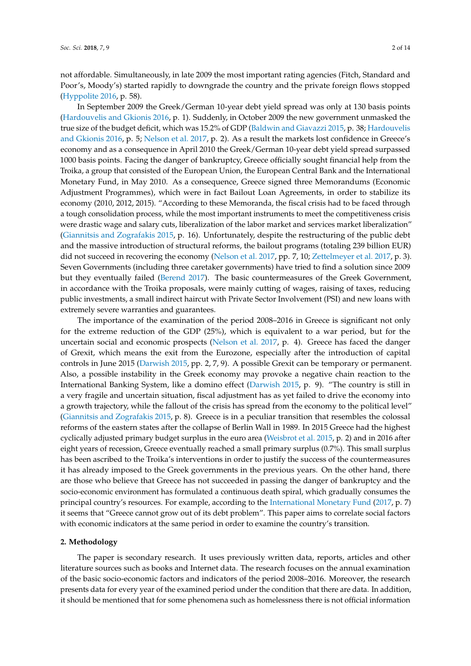not affordable. Simultaneously, in late 2009 the most important rating agencies (Fitch, Standard and Poor's, Moody's) started rapidly to downgrade the country and the private foreign flows stopped [\(Hyppolite](#page-11-1) [2016,](#page-11-1) p. 58).

In September 2009 the Greek/German 10-year debt yield spread was only at 130 basis points [\(Hardouvelis and Gkionis](#page-11-0) [2016,](#page-11-0) p. 1). Suddenly, in October 2009 the new government unmasked the true size of the budget deficit, which was 15.2% of GDP [\(Baldwin and Giavazzi](#page-10-0) [2015,](#page-10-0) p. 38; [Hardouvelis](#page-11-0) [and Gkionis](#page-11-0) [2016,](#page-11-0) p. 5; [Nelson et al.](#page-12-2) [2017,](#page-12-2) p. 2). As a result the markets lost confidence in Greece's economy and as a consequence in April 2010 the Greek/German 10-year debt yield spread surpassed 1000 basis points. Facing the danger of bankruptcy, Greece officially sought financial help from the Troika, a group that consisted of the European Union, the European Central Bank and the International Monetary Fund, in May 2010. As a consequence, Greece signed three Memorandums (Economic Adjustment Programmes), which were in fact Bailout Loan Agreements, in order to stabilize its economy (2010, 2012, 2015). "According to these Memoranda, the fiscal crisis had to be faced through a tough consolidation process, while the most important instruments to meet the competitiveness crisis were drastic wage and salary cuts, liberalization of the labor market and services market liberalization" [\(Giannitsis and Zografakis](#page-11-3) [2015,](#page-11-3) p. 16). Unfortunately, despite the restructuring of the public debt and the massive introduction of structural reforms, the bailout programs (totaling 239 billion EUR) did not succeed in recovering the economy [\(Nelson et al.](#page-12-2) [2017,](#page-13-0) pp. 7, 10; [Zettelmeyer et al.](#page-13-0) 2017, p. 3). Seven Governments (including three caretaker governments) have tried to find a solution since 2009 but they eventually failed [\(Berend](#page-10-1) [2017\)](#page-10-1). The basic countermeasures of the Greek Government, in accordance with the Troika proposals, were mainly cutting of wages, raising of taxes, reducing public investments, a small indirect haircut with Private Sector Involvement (PSI) and new loans with extremely severe warranties and guarantees.

The importance of the examination of the period 2008–2016 in Greece is significant not only for the extreme reduction of the GDP (25%), which is equivalent to a war period, but for the uncertain social and economic prospects [\(Nelson et al.](#page-12-2) [2017,](#page-12-2) p. 4). Greece has faced the danger of Grexit, which means the exit from the Eurozone, especially after the introduction of capital controls in June 2015 [\(Darwish](#page-11-4) [2015,](#page-11-4) pp. 2, 7, 9). A possible Grexit can be temporary or permanent. Also, a possible instability in the Greek economy may provoke a negative chain reaction to the International Banking System, like a domino effect [\(Darwish](#page-11-4) [2015,](#page-11-4) p. 9). "The country is still in a very fragile and uncertain situation, fiscal adjustment has as yet failed to drive the economy into a growth trajectory, while the fallout of the crisis has spread from the economy to the political level" [\(Giannitsis and Zografakis](#page-11-3) [2015,](#page-11-3) p. 8). Greece is in a peculiar transition that resembles the colossal reforms of the eastern states after the collapse of Berlin Wall in 1989. In 2015 Greece had the highest cyclically adjusted primary budget surplus in the euro area [\(Weisbrot et al.](#page-13-1) [2015,](#page-13-1) p. 2) and in 2016 after eight years of recession, Greece eventually reached a small primary surplus (0.7%). This small surplus has been ascribed to the Troika's interventions in order to justify the success of the countermeasures it has already imposed to the Greek governments in the previous years. On the other hand, there are those who believe that Greece has not succeeded in passing the danger of bankruptcy and the socio-economic environment has formulated a continuous death spiral, which gradually consumes the principal country's resources. For example, according to the [International Monetary Fund](#page-11-5) [\(2017,](#page-11-5) p. 7) it seems that "Greece cannot grow out of its debt problem". This paper aims to correlate social factors with economic indicators at the same period in order to examine the country's transition.

### **2. Methodology**

The paper is secondary research. It uses previously written data, reports, articles and other literature sources such as books and Internet data. The research focuses on the annual examination of the basic socio-economic factors and indicators of the period 2008–2016. Moreover, the research presents data for every year of the examined period under the condition that there are data. In addition, it should be mentioned that for some phenomena such as homelessness there is not official information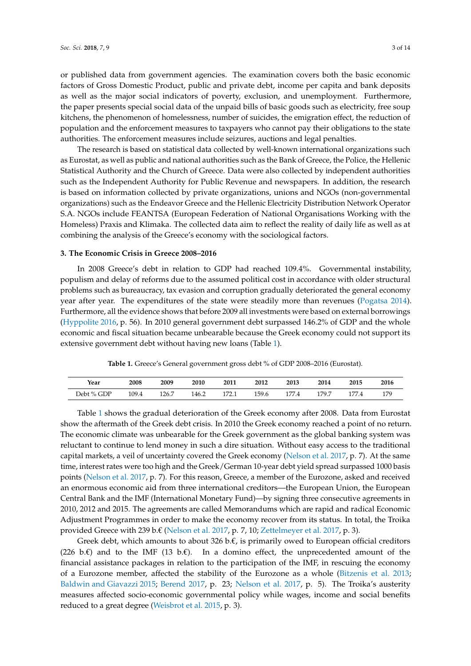or published data from government agencies. The examination covers both the basic economic factors of Gross Domestic Product, public and private debt, income per capita and bank deposits as well as the major social indicators of poverty, exclusion, and unemployment. Furthermore, the paper presents special social data of the unpaid bills of basic goods such as electricity, free soup kitchens, the phenomenon of homelessness, number of suicides, the emigration effect, the reduction of population and the enforcement measures to taxpayers who cannot pay their obligations to the state authorities. The enforcement measures include seizures, auctions and legal penalties.

The research is based on statistical data collected by well-known international organizations such as Eurostat, as well as public and national authorities such as the Bank of Greece, the Police, the Hellenic Statistical Authority and the Church of Greece. Data were also collected by independent authorities such as the Independent Authority for Public Revenue and newspapers. In addition, the research is based on information collected by private organizations, unions and NGOs (non-governmental organizations) such as the Endeavor Greece and the Hellenic Electricity Distribution Network Operator S.A. NGOs include FEANTSA (European Federation of National Organisations Working with the Homeless) Praxis and Klimaka. The collected data aim to reflect the reality of daily life as well as at combining the analysis of the Greece's economy with the sociological factors.

#### **3. The Economic Crisis in Greece 2008–2016**

In 2008 Greece's debt in relation to GDP had reached 109.4%. Governmental instability, populism and delay of reforms due to the assumed political cost in accordance with older structural problems such as bureaucracy, tax evasion and corruption gradually deteriorated the general economy year after year. The expenditures of the state were steadily more than revenues [\(Pogatsa](#page-12-3) [2014\)](#page-12-3). Furthermore, all the evidence shows that before 2009 all investments were based on external borrowings [\(Hyppolite](#page-11-1) [2016,](#page-11-1) p. 56). In 2010 general government debt surpassed 146.2% of GDP and the whole economic and fiscal situation became unbearable because the Greek economy could not support its extensive government debt without having new loans (Table [1\)](#page-2-0).

**Table 1.** Greece's General government gross debt % of GDP 2008–2016 (Eurostat).

<span id="page-2-0"></span>

| Year       | 2008  | 2009  | 2010  | 2011  | 2012  | 2013  | 2014  | 2015  | 2016 |
|------------|-------|-------|-------|-------|-------|-------|-------|-------|------|
| Debt % GDP | 109.4 | 126.7 | 146.2 | 172.1 | 159.6 | 177.4 | 179.7 | 177.4 | 179  |
|            |       |       |       |       |       |       |       |       |      |

Table [1](#page-2-0) shows the gradual deterioration of the Greek economy after 2008. Data from Eurostat show the aftermath of the Greek debt crisis. In 2010 the Greek economy reached a point of no return. The economic climate was unbearable for the Greek government as the global banking system was reluctant to continue to lend money in such a dire situation. Without easy access to the traditional capital markets, a veil of uncertainty covered the Greek economy [\(Nelson et al.](#page-12-2) [2017,](#page-12-2) p. 7). At the same time, interest rates were too high and the Greek/German 10-year debt yield spread surpassed 1000 basis points [\(Nelson et al.](#page-12-2) [2017,](#page-12-2) p. 7). For this reason, Greece, a member of the Eurozone, asked and received an enormous economic aid from three international creditors—the European Union, the European Central Bank and the IMF (International Monetary Fund)—by signing three consecutive agreements in 2010, 2012 and 2015. The agreements are called Memorandums which are rapid and radical Economic Adjustment Programmes in order to make the economy recover from its status. In total, the Troika provided Greece with 239 b.€ [\(Nelson et al.](#page-12-2) [2017,](#page-12-2) p. 7, 10; [Zettelmeyer et al.](#page-13-0) [2017,](#page-13-0) p. 3).

Greek debt, which amounts to about 326 b. $\epsilon$ , is primarily owed to European official creditors (226 b. $\varepsilon$ ) and to the IMF (13 b. $\varepsilon$ ). In a domino effect, the unprecedented amount of the financial assistance packages in relation to the participation of the IMF, in rescuing the economy of a Eurozone member, affected the stability of the Eurozone as a whole [\(Bitzenis et al.](#page-10-3) [2013;](#page-10-3) [Baldwin and Giavazzi](#page-10-0) [2015;](#page-10-0) [Berend](#page-10-1) [2017,](#page-10-1) p. 23; [Nelson et al.](#page-12-2) [2017,](#page-12-2) p. 5). The Troika's austerity measures affected socio-economic governmental policy while wages, income and social benefits reduced to a great degree [\(Weisbrot et al.](#page-13-1) [2015,](#page-13-1) p. 3).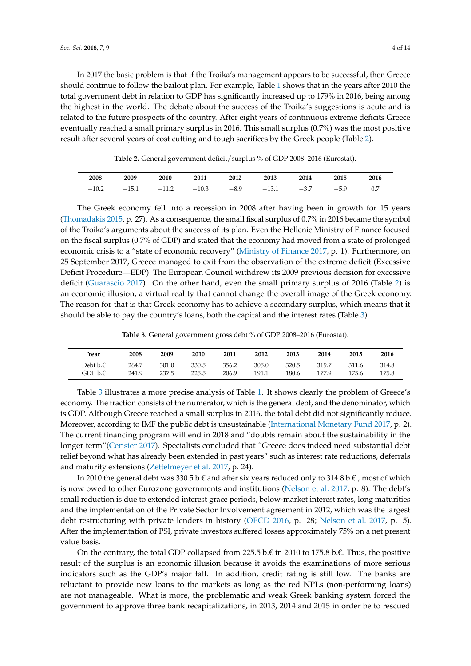In 2017 the basic problem is that if the Troika's management appears to be successful, then Greece should continue to follow the bailout plan. For example, Table [1](#page-2-0) shows that in the years after 2010 the total government debt in relation to GDP has significantly increased up to 179% in 2016, being among the highest in the world. The debate about the success of the Troika's suggestions is acute and is related to the future prospects of the country. After eight years of continuous extreme deficits Greece eventually reached a small primary surplus in 2016. This small surplus (0.7%) was the most positive result after several years of cost cutting and tough sacrifices by the Greek people (Table [2\)](#page-3-0).

**Table 2.** General government deficit/surplus % of GDP 2008–2016 (Eurostat).

<span id="page-3-0"></span>

| 2008    | 2009    | 2010    | 2011    | 2012   | 2013    | 2014   | 2015   | 2016 |
|---------|---------|---------|---------|--------|---------|--------|--------|------|
| $-10.2$ | $-15.1$ | $-11.2$ | $-10.3$ | $-8.9$ | $-13.1$ | $-3.7$ | $-5.9$ |      |

The Greek economy fell into a recession in 2008 after having been in growth for 15 years [\(Thomadakis](#page-12-1) [2015,](#page-12-1) p. 27). As a consequence, the small fiscal surplus of 0.7% in 2016 became the symbol of the Troika's arguments about the success of its plan. Even the Hellenic Ministry of Finance focused on the fiscal surplus (0.7% of GDP) and stated that the economy had moved from a state of prolonged economic crisis to a "state of economic recovery" [\(Ministry of Finance](#page-12-4) [2017,](#page-12-4) p. 1). Furthermore, on 25 September 2017, Greece managed to exit from the observation of the extreme deficit (Excessive Deficit Procedure—EDP). The European Council withdrew its 2009 previous decision for excessive deficit [\(Guarascio](#page-11-6) [2017\)](#page-11-6). On the other hand, even the small primary surplus of 2016 (Table [2\)](#page-3-0) is an economic illusion, a virtual reality that cannot change the overall image of the Greek economy. The reason for that is that Greek economy has to achieve a secondary surplus, which means that it should be able to pay the country's loans, both the capital and the interest rates (Table [3\)](#page-3-1).

**Table 3.** General government gross debt % of GDP 2008–2016 (Eurostat).

<span id="page-3-1"></span>

| Year                                                | 2008  | 2009  | 2010  | 2011  | 2012  | 2013  | 2014  | 2015  | 2016  |
|-----------------------------------------------------|-------|-------|-------|-------|-------|-------|-------|-------|-------|
| Debt b.€                                            | 264.7 | 301.0 | 330.5 | 356.2 | 305.0 | 320.5 | 319.7 | 311.6 | 314.8 |
| $\operatorname{GDP}$ b. $\operatorname{\mathsf{E}}$ | 241.9 | 237.5 | 225.5 | 206.9 | 191.1 | 180.6 | 177.9 | 175.6 | 175.8 |

Table [3](#page-3-1) illustrates a more precise analysis of Table [1.](#page-2-0) It shows clearly the problem of Greece's economy. The fraction consists of the numerator, which is the general debt, and the denominator, which is GDP. Although Greece reached a small surplus in 2016, the total debt did not significantly reduce. Moreover, according to IMF the public debt is unsustainable [\(International Monetary Fund](#page-11-5) [2017,](#page-11-5) p. 2). The current financing program will end in 2018 and "doubts remain about the sustainability in the longer term"[\(Cerisier](#page-10-4) [2017\)](#page-10-4). Specialists concluded that "Greece does indeed need substantial debt relief beyond what has already been extended in past years" such as interest rate reductions, deferrals and maturity extensions [\(Zettelmeyer et al.](#page-13-0) [2017,](#page-13-0) p. 24).

In 2010 the general debt was 330.5 b.€ and after six years reduced only to 314.8 b.€., most of which is now owed to other Eurozone governments and institutions [\(Nelson et al.](#page-12-2) [2017,](#page-12-2) p. 8). The debt's small reduction is due to extended interest grace periods, below-market interest rates, long maturities and the implementation of the Private Sector Involvement agreement in 2012, which was the largest debt restructuring with private lenders in history [\(OECD](#page-12-5) [2016,](#page-12-5) p. 28; [Nelson et al.](#page-12-2) [2017,](#page-12-2) p. 5). After the implementation of PSI, private investors suffered losses approximately 75% on a net present value basis.

On the contrary, the total GDP collapsed from 225.5 b. $\epsilon$  in 2010 to 175.8 b. $\epsilon$ . Thus, the positive result of the surplus is an economic illusion because it avoids the examinations of more serious indicators such as the GDP's major fall. In addition, credit rating is still low. The banks are reluctant to provide new loans to the markets as long as the red NPLs (non-performing loans) are not manageable. What is more, the problematic and weak Greek banking system forced the government to approve three bank recapitalizations, in 2013, 2014 and 2015 in order be to rescued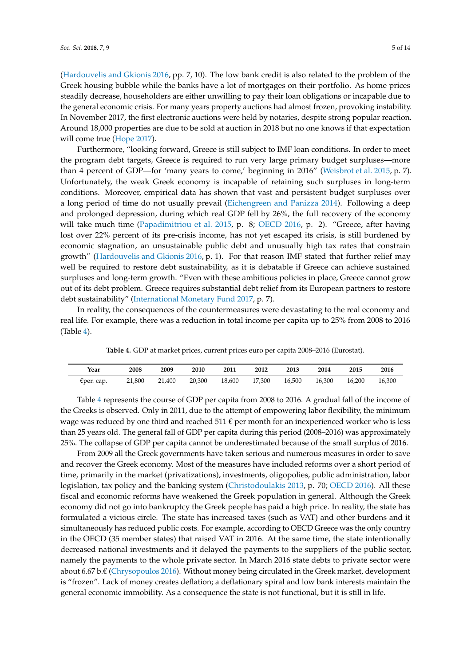[\(Hardouvelis and Gkionis](#page-11-0) [2016,](#page-11-0) pp. 7, 10). The low bank credit is also related to the problem of the Greek housing bubble while the banks have a lot of mortgages on their portfolio. As home prices steadily decrease, householders are either unwilling to pay their loan obligations or incapable due to the general economic crisis. For many years property auctions had almost frozen, provoking instability. In November 2017, the first electronic auctions were held by notaries, despite strong popular reaction. Around 18,000 properties are due to be sold at auction in 2018 but no one knows if that expectation will come true [\(Hope](#page-11-7) [2017\)](#page-11-7).

Furthermore, "looking forward, Greece is still subject to IMF loan conditions. In order to meet the program debt targets, Greece is required to run very large primary budget surpluses—more than 4 percent of GDP—for 'many years to come,' beginning in 2016" [\(Weisbrot et al.](#page-13-1) [2015,](#page-13-1) p. 7). Unfortunately, the weak Greek economy is incapable of retaining such surpluses in long-term conditions. Moreover, empirical data has shown that vast and persistent budget surpluses over a long period of time do not usually prevail [\(Eichengreen and Panizza](#page-11-8) [2014\)](#page-11-8). Following a deep and prolonged depression, during which real GDP fell by 26%, the full recovery of the economy will take much time [\(Papadimitriou et al.](#page-12-6) [2015,](#page-12-6) p. 8; [OECD](#page-12-5) [2016,](#page-12-5) p. 2). "Greece, after having lost over 22% percent of its pre-crisis income, has not yet escaped its crisis, is still burdened by economic stagnation, an unsustainable public debt and unusually high tax rates that constrain growth" [\(Hardouvelis and Gkionis](#page-11-0) [2016,](#page-11-0) p. 1). For that reason IMF stated that further relief may well be required to restore debt sustainability, as it is debatable if Greece can achieve sustained surpluses and long-term growth. "Even with these ambitious policies in place, Greece cannot grow out of its debt problem. Greece requires substantial debt relief from its European partners to restore debt sustainability" [\(International Monetary Fund](#page-11-5) [2017,](#page-11-5) p. 7).

In reality, the consequences of the countermeasures were devastating to the real economy and real life. For example, there was a reduction in total income per capita up to 25% from 2008 to 2016 (Table [4\)](#page-4-0).

<span id="page-4-0"></span>

| Year         | 2008   | 2009   | 2010   | 2011   | 2012   | 2013   | 2014   | 2015   | 2016   |
|--------------|--------|--------|--------|--------|--------|--------|--------|--------|--------|
| $Eper.$ cap. | 21,800 | 21,400 | 20,300 | 18,600 | 17,300 | 16,500 | 16,300 | 16.200 | 16,300 |

**Table 4.** GDP at market prices, current prices euro per capita 2008–2016 (Eurostat).

Table [4](#page-4-0) represents the course of GDP per capita from 2008 to 2016. A gradual fall of the income of the Greeks is observed. Only in 2011, due to the attempt of empowering labor flexibility, the minimum wage was reduced by one third and reached 511  $\epsilon$  per month for an inexperienced worker who is less than 25 years old. The general fall of GDP per capita during this period (2008–2016) was approximately 25%. The collapse of GDP per capita cannot be underestimated because of the small surplus of 2016.

From 2009 all the Greek governments have taken serious and numerous measures in order to save and recover the Greek economy. Most of the measures have included reforms over a short period of time, primarily in the market (privatizations), investments, oligopolies, public administration, labor legislation, tax policy and the banking system [\(Christodoulakis](#page-10-5) [2013,](#page-10-5) p. 70; [OECD](#page-12-5) [2016\)](#page-12-5). All these fiscal and economic reforms have weakened the Greek population in general. Although the Greek economy did not go into bankruptcy the Greek people has paid a high price. In reality, the state has formulated a vicious circle. The state has increased taxes (such as VAT) and other burdens and it simultaneously has reduced public costs. For example, according to OECD Greece was the only country in the OECD (35 member states) that raised VAT in 2016. At the same time, the state intentionally decreased national investments and it delayed the payments to the suppliers of the public sector, namely the payments to the whole private sector. In March 2016 state debts to private sector were about 6.67 b.€ [\(Chrysopoulos](#page-10-6) [2016\)](#page-10-6). Without money being circulated in the Greek market, development is "frozen". Lack of money creates deflation; a deflationary spiral and low bank interests maintain the general economic immobility. As a consequence the state is not functional, but it is still in life.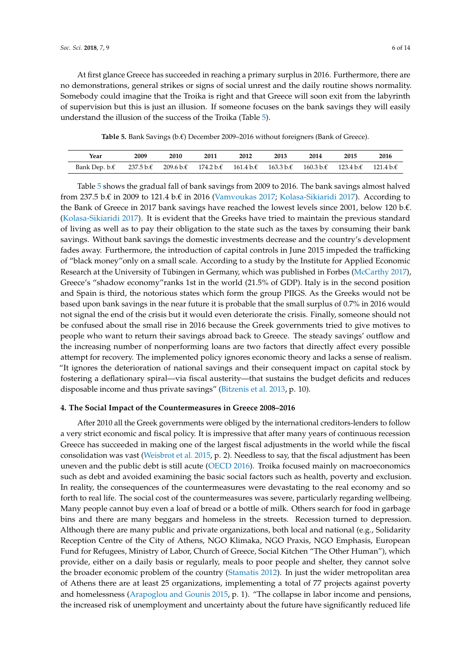At first glance Greece has succeeded in reaching a primary surplus in 2016. Furthermore, there are no demonstrations, general strikes or signs of social unrest and the daily routine shows normality. Somebody could imagine that the Troika is right and that Greece will soon exit from the labyrinth of supervision but this is just an illusion. If someone focuses on the bank savings they will easily understand the illusion of the success of the Troika (Table [5\)](#page-5-0).

**Table 5.** Bank Savings (b.€) December 2009–2016 without foreigners (Bank of Greece).

<span id="page-5-0"></span>

| Year          | 2009 | 2010 | 2011 | 2012                                                                                                                                               | 2013 | 2014                                                               | 2015 | 2016 |
|---------------|------|------|------|----------------------------------------------------------------------------------------------------------------------------------------------------|------|--------------------------------------------------------------------|------|------|
| Bank Dep. b.€ |      |      |      | $237.5 \text{ b}.\text{ } \in 209.6 \text{ b}.\text{ } \in 174.2 \text{ b}.\text{ } \in 161.4 \text{ b}.\text{ } \in 163.3 \text{ b}.\text{ } \in$ |      | $160.3 \text{ b}.\text{E}$ 123.4 b. $\text{E}$ 121.4 b. $\text{E}$ |      |      |

Table [5](#page-5-0) shows the gradual fall of bank savings from 2009 to 2016. The bank savings almost halved from 237.5 b. $\epsilon$  in 2009 to 121.4 b. $\epsilon$  in 2016 [\(Vamvoukas](#page-13-2) [2017;](#page-13-2) [Kolasa-Sikiaridi](#page-12-7) [2017\)](#page-12-7). According to the Bank of Greece in 2017 bank savings have reached the lowest levels since 2001, below 120 b.€. [\(Kolasa-Sikiaridi](#page-12-7) [2017\)](#page-12-7). It is evident that the Greeks have tried to maintain the previous standard of living as well as to pay their obligation to the state such as the taxes by consuming their bank savings. Without bank savings the domestic investments decrease and the country's development fades away. Furthermore, the introduction of capital controls in June 2015 impeded the trafficking of "black money"only on a small scale. According to a study by the Institute for Applied Economic Research at the University of Tübingen in Germany, which was published in Forbes [\(McCarthy](#page-12-8) [2017\)](#page-12-8), Greece's "shadow economy"ranks 1st in the world (21.5% of GDP). Italy is in the second position and Spain is third, the notorious states which form the group PIIGS. As the Greeks would not be based upon bank savings in the near future it is probable that the small surplus of 0.7% in 2016 would not signal the end of the crisis but it would even deteriorate the crisis. Finally, someone should not be confused about the small rise in 2016 because the Greek governments tried to give motives to people who want to return their savings abroad back to Greece. The steady savings' outflow and the increasing number of nonperforming loans are two factors that directly affect every possible attempt for recovery. The implemented policy ignores economic theory and lacks a sense of realism. "It ignores the deterioration of national savings and their consequent impact on capital stock by fostering a deflationary spiral—via fiscal austerity—that sustains the budget deficits and reduces disposable income and thus private savings" [\(Bitzenis et al.](#page-10-3) [2013,](#page-10-3) p. 10).

#### **4. The Social Impact of the Countermeasures in Greece 2008–2016**

After 2010 all the Greek governments were obliged by the international creditors-lenders to follow a very strict economic and fiscal policy. It is impressive that after many years of continuous recession Greece has succeeded in making one of the largest fiscal adjustments in the world while the fiscal consolidation was vast [\(Weisbrot et al.](#page-13-1) [2015,](#page-13-1) p. 2). Needless to say, that the fiscal adjustment has been uneven and the public debt is still acute [\(OECD](#page-12-5) [2016\)](#page-12-5). Troika focused mainly on macroeconomics such as debt and avoided examining the basic social factors such as health, poverty and exclusion. In reality, the consequences of the countermeasures were devastating to the real economy and so forth to real life. The social cost of the countermeasures was severe, particularly regarding wellbeing. Many people cannot buy even a loaf of bread or a bottle of milk. Others search for food in garbage bins and there are many beggars and homeless in the streets. Recession turned to depression. Although there are many public and private organizations, both local and national (e.g., Solidarity Reception Centre of the City of Athens, NGO Klimaka, NGO Praxis, NGO Emphasis, European Fund for Refugees, Ministry of Labor, Church of Greece, Social Kitchen "The Other Human"), which provide, either on a daily basis or regularly, meals to poor people and shelter, they cannot solve the broader economic problem of the country [\(Stamatis](#page-12-9) [2012\)](#page-12-9). In just the wider metropolitan area of Athens there are at least 25 organizations, implementing a total of 77 projects against poverty and homelessness [\(Arapoglou and Gounis](#page-10-7) [2015,](#page-10-7) p. 1). "The collapse in labor income and pensions, the increased risk of unemployment and uncertainty about the future have significantly reduced life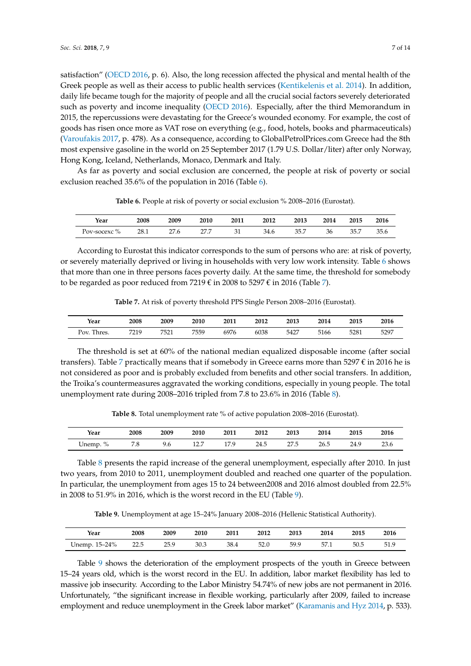satisfaction" [\(OECD](#page-12-5) [2016,](#page-12-5) p. 6). Also, the long recession affected the physical and mental health of the Greek people as well as their access to public health services [\(Kentikelenis et al.](#page-11-9) [2014\)](#page-11-9). In addition, daily life became tough for the majority of people and all the crucial social factors severely deteriorated such as poverty and income inequality [\(OECD](#page-12-5) [2016\)](#page-12-5). Especially, after the third Memorandum in 2015, the repercussions were devastating for the Greece's wounded economy. For example, the cost of goods has risen once more as VAT rose on everything (e.g., food, hotels, books and pharmaceuticals) [\(Varoufakis](#page-13-3) [2017,](#page-13-3) p. 478). As a consequence, according to GlobalPetrolPrices.com Greece had the 8th most expensive gasoline in the world on 25 September 2017 (1.79 U.S. Dollar/liter) after only Norway, Hong Kong, Iceland, Netherlands, Monaco, Denmark and Italy.

<span id="page-6-0"></span>As far as poverty and social exclusion are concerned, the people at risk of poverty or social exclusion reached 35.6% of the population in 2016 (Table [6\)](#page-6-0).

| Year                              | 2008 | 2009               | 2010 | 2011 | 2012                   | 2013            | 2014 | 2015         | 2016 |
|-----------------------------------|------|--------------------|------|------|------------------------|-----------------|------|--------------|------|
| $\mathbf{O}/$<br>'ov-socexc<br>7ο | 28.1 | $\sim$<br>՛.6<br>- | ---  | ◡▴   | 2 <sub>4</sub><br>34.b | -<br>35<br>JJ.I | 36   | 35.7<br>JJ.I | 35.6 |

**Table 6.** People at risk of poverty or social exclusion % 2008–2016 (Eurostat).

According to Eurostat this indicator corresponds to the sum of persons who are: at risk of poverty, or severely materially deprived or living in households with very low work intensity. Table [6](#page-6-0) shows that more than one in three persons faces poverty daily. At the same time, the threshold for somebody to be regarded as poor reduced from 7219  $\epsilon$  in 2008 to 5297  $\epsilon$  in 2016 (Table [7\)](#page-6-1).

**Table 7.** At risk of poverty threshold PPS Single Person 2008–2016 (Eurostat).

<span id="page-6-1"></span>

| Year           | 2008 | 2009 | 2010 | 2011 | 2012 | 2013 | 2014 | 2015 | 2016 |
|----------------|------|------|------|------|------|------|------|------|------|
| Pov.<br>Thres. | 7219 | 7521 | 7559 | 6976 | 6038 | 5427 | 5166 | 5281 | 5297 |

The threshold is set at 60% of the national median equalized disposable income (after social transfers). Table [7](#page-6-1) practically means that if somebody in Greece earns more than 5297  $\epsilon$  in 2016 he is not considered as poor and is probably excluded from benefits and other social transfers. In addition, the Troika's countermeasures aggravated the working conditions, especially in young people. The total unemployment rate during 2008–2016 tripled from 7.8 to 23.6% in 2016 (Table [8\)](#page-6-2).

**Table 8.** Total unemployment rate % of active population 2008–2016 (Eurostat).

<span id="page-6-2"></span>

| Year           | 2008             | 2009 | 2010                   | 2011 | 2012 | 2013                    | 2014 | 2015 | 2016 |
|----------------|------------------|------|------------------------|------|------|-------------------------|------|------|------|
| $\%$<br>Unemp. | <b>76</b><br>7.0 | 9.6  | 10.7<br>14. . <i>.</i> | 17 Q | 24.5 | 27E<br>$\epsilon$<br>سر | 26.5 | 24.9 | 23.6 |

Table [8](#page-6-2) presents the rapid increase of the general unemployment, especially after 2010. In just two years, from 2010 to 2011, unemployment doubled and reached one quarter of the population. In particular, the unemployment from ages 15 to 24 between2008 and 2016 almost doubled from 22.5% in 2008 to 51.9% in 2016, which is the worst record in the EU (Table [9\)](#page-6-3).

**Table 9.** Unemployment at age 15–24% January 2008–2016 (Hellenic Statistical Authority).

<span id="page-6-3"></span>

| Year                 | 2008 | 2009         | 2010 | 2011 | 2012 | 2013 | 2014 | 2015 | 2016 |
|----------------------|------|--------------|------|------|------|------|------|------|------|
| 15–24%<br>Unemp. 15- | 22.5 | ን5 ዓ<br>∠ ل⊾ | 30.3 | 38.4 | 52.0 | 59.9 | 57.1 | 50.5 | 51.9 |

Table [9](#page-6-3) shows the deterioration of the employment prospects of the youth in Greece between 15–24 years old, which is the worst record in the EU. In addition, labor market flexibility has led to massive job insecurity. According to the Labor Ministry 54.74% of new jobs are not permanent in 2016. Unfortunately, "the significant increase in flexible working, particularly after 2009, failed to increase employment and reduce unemployment in the Greek labor market" [\(Karamanis and Hyz](#page-11-10) [2014,](#page-11-10) p. 533).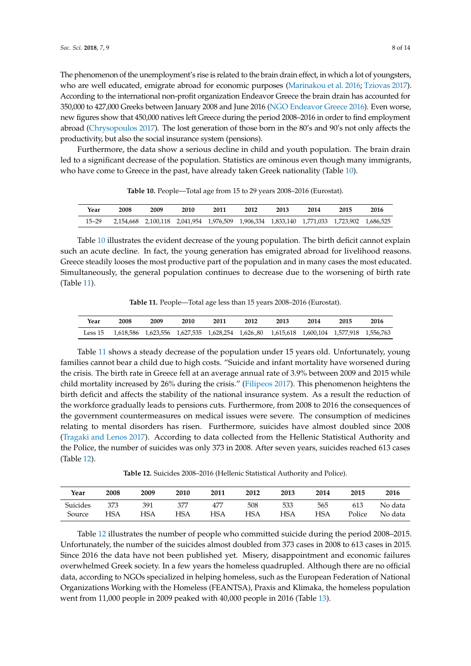The phenomenon of the unemployment's rise is related to the brain drain effect, in which a lot of youngsters, who are well educated, emigrate abroad for economic purposes [\(Marinakou et al.](#page-12-10) [2016;](#page-12-10) [Tziovas](#page-12-11) [2017\)](#page-12-11). According to the international non-profit organization Endeavor Greece the brain drain has accounted for 350,000 to 427,000 Greeks between January 2008 and June 2016 [\(NGO Endeavor Greece](#page-12-12) [2016\)](#page-12-12). Even worse, new figures show that 450,000 natives left Greece during the period 2008–2016 in order to find employment abroad [\(Chrysopoulos](#page-11-11) [2017\)](#page-11-11). The lost generation of those born in the 80's and 90's not only affects the productivity, but also the social insurance system (pensions).

Furthermore, the data show a serious decline in child and youth population. The brain drain led to a significant decrease of the population. Statistics are ominous even though many immigrants, who have come to Greece in the past, have already taken Greek nationality (Table [10\)](#page-7-0).

**Table 10.** People—Total age from 15 to 29 years 2008–2016 (Eurostat).

<span id="page-7-0"></span>

| Year      | 2008                                                                                      | 2009 | 2010 | 2011 | 2012 | 2013 | 2014 | 2015 | 2016 |
|-----------|-------------------------------------------------------------------------------------------|------|------|------|------|------|------|------|------|
| $15 - 29$ | 2,154,668 2,100,118 2,041,954 1,976,509 1,906,334 1,833,140 1,771,033 1,723,902 1,686,525 |      |      |      |      |      |      |      |      |

Table [10](#page-7-0) illustrates the evident decrease of the young population. The birth deficit cannot explain such an acute decline. In fact, the young generation has emigrated abroad for livelihood reasons. Greece steadily looses the most productive part of the population and in many cases the most educated. Simultaneously, the general population continues to decrease due to the worsening of birth rate (Table [11\)](#page-7-1).

**Table 11.** People—Total age less than 15 years 2008–2016 (Eurostat).

<span id="page-7-1"></span>

| Year | 2008                                                                                             | 2009 | 2010 | 2011 | 2012 | 2013 | 2014 | 2015 | 2016 |
|------|--------------------------------------------------------------------------------------------------|------|------|------|------|------|------|------|------|
|      | Less 15 1,618,586 1,623,556 1,627,535 1,628,254 1,626.80 1,615,618 1,600,104 1,577,918 1,556,763 |      |      |      |      |      |      |      |      |

Table [11](#page-7-1) shows a steady decrease of the population under 15 years old. Unfortunately, young families cannot bear a child due to high costs. "Suicide and infant mortality have worsened during the crisis. The birth rate in Greece fell at an average annual rate of 3.9% between 2009 and 2015 while child mortality increased by 26% during the crisis." [\(Filipeos](#page-11-12) [2017\)](#page-11-12). This phenomenon heightens the birth deficit and affects the stability of the national insurance system. As a result the reduction of the workforce gradually leads to pensions cuts. Furthermore, from 2008 to 2016 the consequences of the government countermeasures on medical issues were severe. The consumption of medicines relating to mental disorders has risen. Furthermore, suicides have almost doubled since 2008 [\(Tragaki and Lenos](#page-12-13) [2017\)](#page-12-13). According to data collected from the Hellenic Statistical Authority and the Police, the number of suicides was only 373 in 2008. After seven years, suicides reached 613 cases (Table [12\)](#page-7-2).

**Table 12.** Suicides 2008–2016 (Hellenic Statistical Authority and Police).

<span id="page-7-2"></span>

| Year            | 2008 | 2009 | 2010 | 2011 | 2012 | 2013 | 2014 | 2015   | 2016    |
|-----------------|------|------|------|------|------|------|------|--------|---------|
| <b>Suicides</b> | 373  | 391  | 377  | 477  | 508  | 533  | 565  | 613    | No data |
| Source          | HSA  | HSA  | HSA  | HSA  | HSA  | HSA  | HSA  | Police | No data |

Table [12](#page-7-2) illustrates the number of people who committed suicide during the period 2008–2015. Unfortunately, the number of the suicides almost doubled from 373 cases in 2008 to 613 cases in 2015. Since 2016 the data have not been published yet. Misery, disappointment and economic failures overwhelmed Greek society. In a few years the homeless quadrupled. Although there are no official data, according to NGOs specialized in helping homeless, such as the European Federation of National Organizations Working with the Homeless (FEANTSA), Praxis and Klimaka, the homeless population went from 11,000 people in 2009 peaked with 40,000 people in 2016 (Table [13\)](#page-8-0).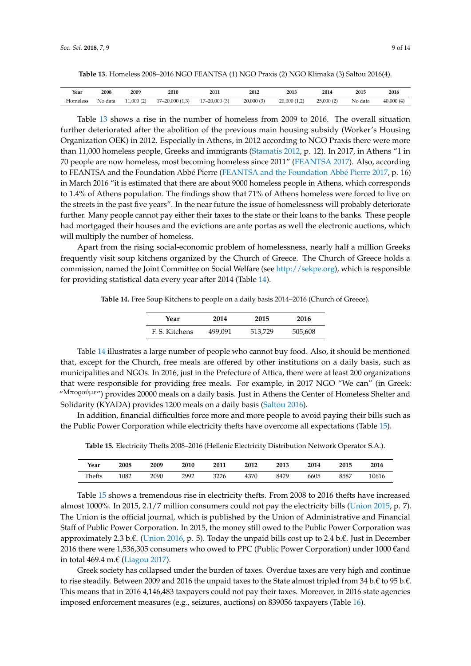<span id="page-8-0"></span>**Table 13.** Homeless 2008–2016 NGO FEANTSA (1) NGO Praxis (2) NGO Klimaka (3) Saltou 2016(4).

| Year     | 2008    | 2009      | 2010                               | 2011             | 2012      | 2013         | 2014       | 2015    | 2016      |
|----------|---------|-----------|------------------------------------|------------------|-----------|--------------|------------|---------|-----------|
| Homeless | No data | .1,000(2) | $-20,000(1,3)$<br>17<br>$\sqrt{2}$ | $17 - 20,000(3)$ | 20,000(3) | 20,000 (1,2) | 25,000 (2) | No data | 40,000(4) |

Table [13](#page-8-0) shows a rise in the number of homeless from 2009 to 2016. The overall situation further deteriorated after the abolition of the previous main housing subsidy (Worker's Housing Organization OEK) in 2012. Especially in Athens, in 2012 according to NGO Praxis there were more than 11,000 homeless people, Greeks and immigrants [\(Stamatis](#page-12-9) [2012,](#page-12-9) p. 12). In 2017, in Athens "1 in 70 people are now homeless, most becoming homeless since 2011" [\(FEANTSA](#page-11-13) [2017\)](#page-11-13). Also, according to FEANTSA and the Foundation Abbé Pierre [\(FEANTSA and the Foundation Abb](#page-11-14)é Pierre [2017,](#page-11-14) p. 16) in March 2016 "it is estimated that there are about 9000 homeless people in Athens, which corresponds to 1.4% of Athens population. The findings show that 71% of Athens homeless were forced to live on the streets in the past five years". In the near future the issue of homelessness will probably deteriorate further. Many people cannot pay either their taxes to the state or their loans to the banks. These people had mortgaged their houses and the evictions are ante portas as well the electronic auctions, which will multiply the number of homeless. <sup>10</sup> person handles per nation. The main go show that  $71/8$  or there nonceed

Apart from the rising social-economic problem of homelessness, nearly half a million Greeks frequently visit soup kitchens organized by the Church of Greece. The Church of Greece holds a commission, named the Joint Committee on Social Welfare (see [http://sekpe.org\)](http://sekpe.org), which is responsible for providing statistical data every year after 2014 (Table [14\)](#page-8-1). nequently visit soup michels organized by

**Table 14.** Free Soup Kitchens to people on a daily basis 2014–2016 (Church of Greece).

<span id="page-8-1"></span>

| Year                   | 2014 | 2015    | 2016    |
|------------------------|------|---------|---------|
| F. S. Kitchens 499,091 |      | 513,729 | 505,608 |

Table [14](#page-8-1) illustrates a large number of people who cannot buy food. Also, it should be mentioned that, except for the Church, free meals are offered by other institutions on a daily basis, such as municipalities and NGOs. In 2016, just in the Prefecture of Attica, there were at least 200 organizations municipalities and NGOs. In 2016, just in the Prefecture of Attica, there were at least 200 that were responsible for providing free meals. For example, in 2017 NGO "We can" (in Greek: "Μπορούμε") provides 20000 meals on a daily basis. Just in Athens the Center of Homeless Shelter and that, except for the Church, free meals are offered by other institutions of Solidarity (KYADA) provides 1200 meals on a daily basis [\(Saltou](#page-12-14) [2016\)](#page-12-14).

In addition, for a differential different more people to avoid paying the such as  $\frac{1}{2}$  bills such as  $\frac{1}{2}$  as  $\frac{1}{2}$  as  $\frac{1}{2}$  and  $\frac{1}{2}$  as  $\frac{1}{2}$  and  $\frac{1}{2}$  and  $\frac{1}{2}$  and  $\frac{1}{2}$  and  $\frac{1}{$ In addition, financial difficulties force more and more people to avoid paying their bills such as the Public Power Corporation while electricity thefts have overcome all expectations (Table [15\)](#page-8-2).

<span id="page-8-2"></span>**Table 15.** Electricity Thefts 2008–2016 (Hellenic Electricity Distribution Network Operator S.A.).

| Year   | 2008 | 2009 | 2010 | 2011 | 2012 | 2013 | 2014 | 2015 | 2016  |
|--------|------|------|------|------|------|------|------|------|-------|
| Thefts | 1082 | 2090 | 2992 | 3226 | 4370 | 8429 | 6605 | 8587 | 10616 |

Table [15](#page-8-2) shows a tremendous rise in electricity thefts. From 2008 to 2016 thefts have increased almost 1000%. In 2015, 2.1/7 million consumers could not pay the electricity bills [\(Union](#page-13-4) [2015,](#page-13-4) p. 7). The Union is the official journal, which is published by the Union of Administrative and Financial  $C_{\rm tot}$   $C_{\rm tot}$   $D_{\rm C}$  and  $D_{\rm C}$  consumers who over  $D_{\rm C}$  and  $D_{\rm C}$  and  $D_{\rm C}$   $D_{\rm C}$   $D_{\rm C}$   $D_{\rm C}$   $D_{\rm C}$   $D_{\rm C}$   $D_{\rm C}$   $D_{\rm C}$   $D_{\rm C}$   $D_{\rm C}$   $D_{\rm C}$   $D_{\rm C}$   $D_{\rm C}$   $D_{\rm C}$   $D_{\rm C}$  Staff of Public Power Corporation. In 2015, the money still owed to the Public Power Corporation was approximately 2.3 b.€. [\(Union](#page-13-5) [2016,](#page-13-5) p. 5). Today the unpaid bills cost up to 2.4 b.€. Just in December 2016 there were 1,536,305 consumers who owed to PPC (Public Power Corporation) under 1000  $\epsilon$ and in total 469.4 m.€ [\(Liagou](#page-12-15) [2017\)](#page-12-15).

Greek society has collapsed under the burden of taxes. Overdue taxes are very high and continue to rise steadily. Between 2009 and 2016 the unpaid taxes to the State almost tripled from 34 b.€ to 95 b.€. This means that in 2016 4,146,483 taxpayers could not pay their taxes. Moreover, in 2016 state agencies imposed enforcement measures (e.g., seizures, auctions) on 839056 taxpayers (Table [16\)](#page-9-0).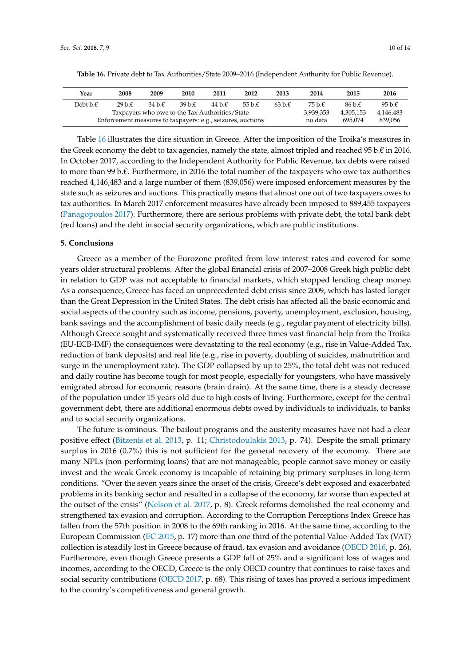| Year                                                        | 2008      | 2009   | 2010   | 2011   | 2012             | 2013    | 2014             | 2015      | 2016             |
|-------------------------------------------------------------|-----------|--------|--------|--------|------------------|---------|------------------|-----------|------------------|
| Debt b. $\epsilon$                                          | $29b \in$ | 34 b.f | 39 b.€ | 44 b.f | 55 b. $\epsilon$ | 63 b.f. | 75 b. $\epsilon$ | 86 b.f.   | 95 b. $\epsilon$ |
| Taxpayers who owe to the Tax Authorities/State              |           |        |        |        |                  |         |                  | 4.305.153 | 4,146,483        |
| Enforcement measures to taxpayers: e.g., seizures, auctions |           |        |        |        |                  |         |                  | 695.074   | 839.056          |

<span id="page-9-0"></span>**Table 16.** Private debt to Tax Authorities/State 2009–2016 (Independent Authority for Public Revenue).

Table [16](#page-9-0) illustrates the dire situation in Greece. After the imposition of the Troika's measures in the Greek economy the debt to tax agencies, namely the state, almost tripled and reached 95 b. $\epsilon$  in 2016. In October 2017, according to the Independent Authority for Public Revenue, tax debts were raised to more than 99 b.€. Furthermore, in 2016 the total number of the taxpayers who owe tax authorities reached 4,146,483 and a large number of them (839,056) were imposed enforcement measures by the state such as seizures and auctions. This practically means that almost one out of two taxpayers owes to tax authorities. In March 2017 enforcement measures have already been imposed to 889,455 taxpayers [\(Panagopoulos](#page-12-16) [2017\)](#page-12-16). Furthermore, there are serious problems with private debt, the total bank debt (red loans) and the debt in social security organizations, which are public institutions.

#### **5. Conclusions**

Greece as a member of the Eurozone profited from low interest rates and covered for some years older structural problems. After the global financial crisis of 2007–2008 Greek high public debt in relation to GDP was not acceptable to financial markets, which stopped lending cheap money. As a consequence, Greece has faced an unprecedented debt crisis since 2009, which has lasted longer than the Great Depression in the United States. The debt crisis has affected all the basic economic and social aspects of the country such as income, pensions, poverty, unemployment, exclusion, housing, bank savings and the accomplishment of basic daily needs (e.g., regular payment of electricity bills). Although Greece sought and systematically received three times vast financial help from the Troika (EU-ECB-IMF) the consequences were devastating to the real economy (e.g., rise in Value-Added Tax, reduction of bank deposits) and real life (e.g., rise in poverty, doubling of suicides, malnutrition and surge in the unemployment rate). The GDP collapsed by up to 25%, the total debt was not reduced and daily routine has become tough for most people, especially for youngsters, who have massively emigrated abroad for economic reasons (brain drain). At the same time, there is a steady decrease of the population under 15 years old due to high costs of living. Furthermore, except for the central government debt, there are additional enormous debts owed by individuals to individuals, to banks and to social security organizations.

The future is ominous. The bailout programs and the austerity measures have not had a clear positive effect [\(Bitzenis et al.](#page-10-3) [2013,](#page-10-3) p. 11; [Christodoulakis](#page-10-5) [2013,](#page-10-5) p. 74). Despite the small primary surplus in 2016 (0.7%) this is not sufficient for the general recovery of the economy. There are many NPLs (non-performing loans) that are not manageable, people cannot save money or easily invest and the weak Greek economy is incapable of retaining big primary surpluses in long-term conditions. "Over the seven years since the onset of the crisis, Greece's debt exposed and exacerbated problems in its banking sector and resulted in a collapse of the economy, far worse than expected at the outset of the crisis" [\(Nelson et al.](#page-12-2) [2017,](#page-12-2) p. 8). Greek reforms demolished the real economy and strengthened tax evasion and corruption. According to the Corruption Perceptions Index Greece has fallen from the 57th position in 2008 to the 69th ranking in 2016. At the same time, according to the European Commission [\(EC](#page-11-15) [2015,](#page-11-15) p. 17) more than one third of the potential Value-Added Tax (VAT) collection is steadily lost in Greece because of fraud, tax evasion and avoidance [\(OECD](#page-12-5) [2016,](#page-12-5) p. 26). Furthermore, even though Greece presents a GDP fall of 25% and a significant loss of wages and incomes, according to the OECD, Greece is the only OECD country that continues to raise taxes and social security contributions [\(OECD](#page-12-17) [2017,](#page-12-17) p. 68). This rising of taxes has proved a serious impediment to the country's competitiveness and general growth.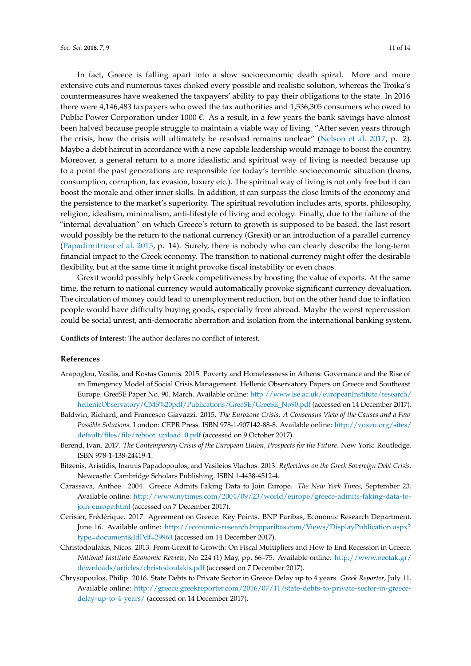In fact, Greece is falling apart into a slow socioeconomic death spiral. More and more extensive cuts and numerous taxes choked every possible and realistic solution, whereas the Troika's countermeasures have weakened the taxpayers' ability to pay their obligations to the state. In 2016 there were 4,146,483 taxpayers who owed the tax authorities and 1,536,305 consumers who owed to Public Power Corporation under  $1000 \epsilon$ . As a result, in a few years the bank savings have almost been halved because people struggle to maintain a viable way of living. "After seven years through the crisis, how the crisis will ultimately be resolved remains unclear" [\(Nelson et al.](#page-12-2) [2017,](#page-12-2) p. 2). Maybe a debt haircut in accordance with a new capable leadership would manage to boost the country. Moreover, a general return to a more idealistic and spiritual way of living is needed because up to a point the past generations are responsible for today's terrible socioeconomic situation (loans, consumption, corruption, tax evasion, luxury etc.). The spiritual way of living is not only free but it can boost the morale and other inner skills. In addition, it can surpass the close limits of the economy and the persistence to the market's superiority. The spiritual revolution includes arts, sports, philosophy, religion, idealism, minimalism, anti-lifestyle of living and ecology. Finally, due to the failure of the "internal devaluation" on which Greece's return to growth is supposed to be based, the last resort would possibly be the return to the national currency (Grexit) or an introduction of a parallel currency [\(Papadimitriou et al.](#page-12-6) [2015,](#page-12-6) p. 14). Surely, there is nobody who can clearly describe the long-term financial impact to the Greek economy. The transition to national currency might offer the desirable flexibility, but at the same time it might provoke fiscal instability or even chaos.

Grexit would possibly help Greek competitiveness by boosting the value of exports. At the same time, the return to national currency would automatically provoke significant currency devaluation. The circulation of money could lead to unemployment reduction, but on the other hand due to inflation people would have difficulty buying goods, especially from abroad. Maybe the worst repercussion could be social unrest, anti-democratic aberration and isolation from the international banking system.

**Conflicts of Interest:** The author declares no conflict of interest.

#### **References**

- <span id="page-10-7"></span>Arapoglou, Vasilis, and Kostas Gounis. 2015. Poverty and Homelessness in Athens: Governance and the Rise of an Emergency Model of Social Crisis Management. Hellenic Observatory Papers on Greece and Southeast Europe. GreeSE Paper No. 90. March. Available online: [http://www.lse.ac.uk/europeanInstitute/research/](http://www.lse.ac.uk/europeanInstitute/research/hellenicObservatory/CMS%20pdf/Publications/GreeSE/GreeSE_No90.pdf) [hellenicObservatory/CMS%20pdf/Publications/GreeSE/GreeSE\\_No90.pdf](http://www.lse.ac.uk/europeanInstitute/research/hellenicObservatory/CMS%20pdf/Publications/GreeSE/GreeSE_No90.pdf) (accessed on 14 December 2017).
- <span id="page-10-0"></span>Baldwin, Richard, and Francesco Giavazzi. 2015. *The Eurozone Crisis: A Consensus View of the Causes and a Few Possible Solutions*. London: CEPR Press. ISBN 978-1-907142-88-8. Available online: [http://voxeu.org/sites/](http://voxeu.org/sites/default/files/file/reboot_upload_0.pdf) [default/files/file/reboot\\_upload\\_0.pdf](http://voxeu.org/sites/default/files/file/reboot_upload_0.pdf) (accessed on 9 October 2017).
- <span id="page-10-1"></span>Berend, Ivan. 2017. *The Contemporary Crisis of the European Union, Prospects for the Future*. New York: Routledge. ISBN 978-1-138-24419-1.
- <span id="page-10-3"></span>Bitzenis, Aristidis, Ioannis Papadopoulos, and Vasileios Vlachos. 2013. *Reflections on the Greek Sovereign Debt Crisis*. Newcastle: Cambridge Scholars Publishing. ISBN 1-4438-4512-4.
- <span id="page-10-2"></span>Carassava, Anthee. 2004. Greece Admits Faking Data to Join Europe. *The New York Times*, September 23. Available online: [http://www.nytimes.com/2004/09/23/world/europe/greece-admits-faking-data-to](http://www.nytimes.com/2004/09/23/world/europe/greece-admits-faking-data-to-join-europe.html)[join-europe.html](http://www.nytimes.com/2004/09/23/world/europe/greece-admits-faking-data-to-join-europe.html) (accessed on 7 December 2017).
- <span id="page-10-4"></span>Cerisier, Frédérique. 2017. Agreement on Greece: Key Points. BNP Paribas, Economic Research Department. June 16. Available online: [http://economic-research.bnpparibas.com/Views/DisplayPublication.aspx?](http://economic-research.bnpparibas.com/Views/DisplayPublication.aspx?type=document&IdPdf=29964) [type=document&IdPdf=29964](http://economic-research.bnpparibas.com/Views/DisplayPublication.aspx?type=document&IdPdf=29964) (accessed on 14 December 2017).
- <span id="page-10-5"></span>Christodoulakis, Nicos. 2013. From Grexit to Growth: On Fiscal Multipliers and How to End Recession in Greece. *National Institute Economic Review*, No 224 (1) May, pp. 66–75. Available online: [http://www.oeetak.gr/](http://www.oeetak.gr/downloads/articles/christodoulakis.pdf) [downloads/articles/christodoulakis.pdf](http://www.oeetak.gr/downloads/articles/christodoulakis.pdf) (accessed on 7 December 2017).
- <span id="page-10-6"></span>Chrysopoulos, Philip. 2016. State Debts to Private Sector in Greece Delay up to 4 years. *Greek Reporter*, July 11. Available online: [http://greece.greekreporter.com/2016/07/11/state-debts-to-private-sector-in-greece](http://greece.greekreporter.com/2016/07/11/state-debts-to-private-sector-in-greece-delay-up-to-4-years/)[delay-up-to-4-years/](http://greece.greekreporter.com/2016/07/11/state-debts-to-private-sector-in-greece-delay-up-to-4-years/) (accessed on 14 December 2017).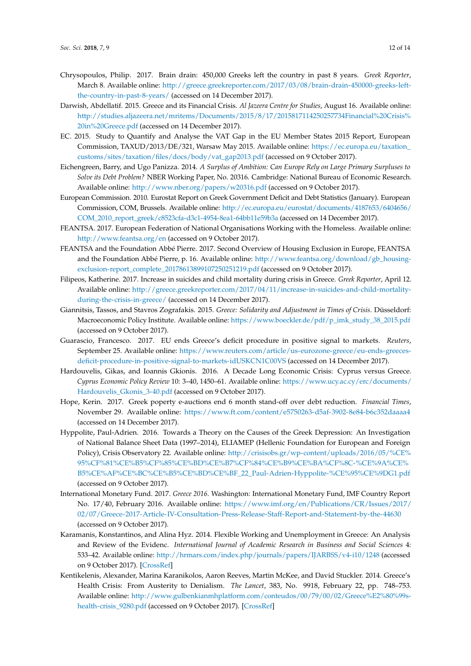- <span id="page-11-11"></span>Chrysopoulos, Philip. 2017. Brain drain: 450,000 Greeks left the country in past 8 years. *Greek Reporter*, March 8. Available online: [http://greece.greekreporter.com/2017/03/08/brain-drain-450000-greeks-left](http://greece.greekreporter.com/2017/03/08/brain-drain-450000-greeks-left-the-country-in-past-8-years/)[the-country-in-past-8-years/](http://greece.greekreporter.com/2017/03/08/brain-drain-450000-greeks-left-the-country-in-past-8-years/) (accessed on 14 December 2017).
- <span id="page-11-4"></span>Darwish, Abdellatif. 2015. Greece and its Financial Crisis. *Al Jazeera Centre for Studies*, August 16. Available online: [http://studies.aljazeera.net/mritems/Documents/2015/8/17/2015817114250257734Financial%20Crisis%](http://studies.aljazeera.net/mritems/Documents/2015/8/17/2015817114250257734Financial%20Crisis%20in%20Greece.pdf) [20in%20Greece.pdf](http://studies.aljazeera.net/mritems/Documents/2015/8/17/2015817114250257734Financial%20Crisis%20in%20Greece.pdf) (accessed on 14 December 2017).
- <span id="page-11-15"></span>EC. 2015. Study to Quantify and Analyse the VAT Gap in the EU Member States 2015 Report, European Commission, TAXUD/2013/DE/321, Warsaw May 2015. Available online: [https://ec.europa.eu/taxation\\_](https://ec.europa.eu/taxation_customs/sites/taxation/files/docs/body/vat_gap2013.pdf) [customs/sites/taxation/files/docs/body/vat\\_gap2013.pdf](https://ec.europa.eu/taxation_customs/sites/taxation/files/docs/body/vat_gap2013.pdf) (accessed on 9 October 2017).
- <span id="page-11-8"></span>Eichengreen, Barry, and Ugo Panizza. 2014. *A Surplus of Ambition: Can Europe Rely on Large Primary Surpluses to Solve its Debt Problem?* NBER Working Paper, No. 20316. Cambridge: National Bureau of Economic Research. Available online: <http://www.nber.org/papers/w20316.pdf> (accessed on 9 October 2017).
- <span id="page-11-2"></span>European Commission. 2010. Eurostat Report on Greek Government Deficit and Debt Statistics (January). European Commission, COM, Brussels. Available online: [http://ec.europa.eu/eurostat/documents/4187653/6404656/](http://ec.europa.eu/eurostat/documents/4187653/6404656/COM_2010_report_greek/c8523cfa-d3c1-4954-8ea1-64bb11e59b3a) [COM\\_2010\\_report\\_greek/c8523cfa-d3c1-4954-8ea1-64bb11e59b3a](http://ec.europa.eu/eurostat/documents/4187653/6404656/COM_2010_report_greek/c8523cfa-d3c1-4954-8ea1-64bb11e59b3a) (accessed on 14 December 2017).
- <span id="page-11-13"></span>FEANTSA. 2017. European Federation of National Organisations Working with the Homeless. Available online: <http://www.feantsa.org/en> (accessed on 9 October 2017).
- <span id="page-11-14"></span>FEANTSA and the Foundation Abbé Pierre. 2017. Second Overview of Housing Exclusion in Europe, FEANTSA and the Foundation Abbé Pierre, p. 16. Available online: [http://www.feantsa.org/download/gb\\_housing](http://www.feantsa.org/download/gb_housing-exclusion-report_complete_20178613899107250251219.pdf)[exclusion-report\\_complete\\_20178613899107250251219.pdf](http://www.feantsa.org/download/gb_housing-exclusion-report_complete_20178613899107250251219.pdf) (accessed on 9 October 2017).
- <span id="page-11-12"></span>Filipeos, Katherine. 2017. Increase in suicides and child mortality during crisis in Greece. *Greek Reporter*, April 12. Available online: [http://greece.greekreporter.com/2017/04/11/increase-in-suicides-and-child-mortality](http://greece.greekreporter.com/2017/04/11/increase-in-suicides-and-child-mortality-during-the-crisis-in-greece/)[during-the-crisis-in-greece/](http://greece.greekreporter.com/2017/04/11/increase-in-suicides-and-child-mortality-during-the-crisis-in-greece/) (accessed on 14 December 2017).
- <span id="page-11-3"></span>Giannitsis, Tassos, and Stavros Zografakis. 2015. *Greece: Solidarity and Adjustment in Times of Crisis*. Düsseldorf: Macroeconomic Policy Institute. Available online: [https://www.boeckler.de/pdf/p\\_imk\\_study\\_38\\_2015.pdf](https://www.boeckler.de/pdf/p_imk_study_38_2015.pdf) (accessed on 9 October 2017).
- <span id="page-11-6"></span>Guarascio, Francesco. 2017. EU ends Greece's deficit procedure in positive signal to markets. *Reuters*, September 25. Available online: [https://www.reuters.com/article/us-eurozone-greece/eu-ends-greeces](https://www.reuters.com/article/us-eurozone-greece/eu-ends-greeces-deficit-procedure-in-positive-signal-to-markets-idUSKCN1C00VS)[deficit-procedure-in-positive-signal-to-markets-idUSKCN1C00VS](https://www.reuters.com/article/us-eurozone-greece/eu-ends-greeces-deficit-procedure-in-positive-signal-to-markets-idUSKCN1C00VS) (accessed on 14 December 2017).
- <span id="page-11-0"></span>Hardouvelis, Gikas, and Ioannis Gkionis. 2016. A Decade Long Economic Crisis: Cyprus versus Greece. *Cyprus Economic Policy Review* 10: 3–40, 1450–61. Available online: [https://www.ucy.ac.cy/erc/documents/](https://www.ucy.ac.cy/erc/documents/Hardouvelis_Gkonis_3-40.pdf) [Hardouvelis\\_Gkonis\\_3-40.pdf](https://www.ucy.ac.cy/erc/documents/Hardouvelis_Gkonis_3-40.pdf) (accessed on 9 October 2017).
- <span id="page-11-7"></span>Hope, Kerin. 2017. Greek poperty e-auctions end 6 month stand-off over debt reduction. *Financial Times*, November 29. Available online: <https://www.ft.com/content/e5750263-d5af-3902-8e84-b6c352daaaa4> (accessed on 14 December 2017).
- <span id="page-11-1"></span>Hyppolite, Paul-Adrien. 2016. Towards a Theory on the Causes of the Greek Depression: An Investigation of National Balance Sheet Data (1997–2014), ELIAMEP (Hellenic Foundation for European and Foreign Policy), Crisis Observatory 22. Available online: [http://crisisobs.gr/wp-content/uploads/2016/05/%CE%](http://crisisobs.gr/wp-content/uploads/2016/05/%CE%95%CF%81%CE%B5%CF%85%CE%BD%CE%B7%CF%84%CE%B9%CE%BA%CF%8C-%CE%9A%CE%B5%CE%AF%CE%BC%CE%B5%CE%BD%CE%BF_22_Paul-Adrien-Hyppolite-%CE%95%CE%9DG1.pdf) [95%CF%81%CE%B5%CF%85%CE%BD%CE%B7%CF%84%CE%B9%CE%BA%CF%8C-%CE%9A%CE%](http://crisisobs.gr/wp-content/uploads/2016/05/%CE%95%CF%81%CE%B5%CF%85%CE%BD%CE%B7%CF%84%CE%B9%CE%BA%CF%8C-%CE%9A%CE%B5%CE%AF%CE%BC%CE%B5%CE%BD%CE%BF_22_Paul-Adrien-Hyppolite-%CE%95%CE%9DG1.pdf) [B5%CE%AF%CE%BC%CE%B5%CE%BD%CE%BF\\_22\\_Paul-Adrien-Hyppolite-%CE%95%CE%9DG1.pdf](http://crisisobs.gr/wp-content/uploads/2016/05/%CE%95%CF%81%CE%B5%CF%85%CE%BD%CE%B7%CF%84%CE%B9%CE%BA%CF%8C-%CE%9A%CE%B5%CE%AF%CE%BC%CE%B5%CE%BD%CE%BF_22_Paul-Adrien-Hyppolite-%CE%95%CE%9DG1.pdf) (accessed on 9 October 2017).
- <span id="page-11-5"></span>International Monetary Fund. 2017. *Greece 2016*. Washington: International Monetary Fund, IMF Country Report No. 17/40, February 2016. Available online: [https://www.imf.org/en/Publications/CR/Issues/2017/](https://www.imf.org/en/Publications/CR/Issues/2017/02/07/Greece-2017-Article-IV-Consultation-Press-Release-Staff-Report-and-Statement-by-the-44630) [02/07/Greece-2017-Article-IV-Consultation-Press-Release-Staff-Report-and-Statement-by-the-44630](https://www.imf.org/en/Publications/CR/Issues/2017/02/07/Greece-2017-Article-IV-Consultation-Press-Release-Staff-Report-and-Statement-by-the-44630) (accessed on 9 October 2017).
- <span id="page-11-10"></span>Karamanis, Konstantinos, and Alina Hyz. 2014. Flexible Working and Unemployment in Greece: An Analysis and Review of the Evidenc. *International Journal of Academic Research in Business and Social Sciences* 4: 533–42. Available online: <http://hrmars.com/index.php/journals/papers/IJARBSS/v4-i10/1248> (accessed on 9 October 2017). [\[CrossRef\]](http://dx.doi.org/10.6007/IJARBSS/v4-i10/1248)
- <span id="page-11-9"></span>Kentikelenis, Alexander, Marina Karanikolos, Aaron Reeves, Martin McKee, and David Stuckler. 2014. Greece's Health Crisis: From Austerity to Denialism. *The Lancet*, 383, No. 9918, February 22, pp. 748–753. Available online: [http://www.gulbenkianmhplatform.com/conteudos/00/79/00/02/Greece%E2%80%99s](http://www.gulbenkianmhplatform.com/conteudos/00/79/00/02/Greece%E2%80%99s-health-crisis_9280.pdf)[health-crisis\\_9280.pdf](http://www.gulbenkianmhplatform.com/conteudos/00/79/00/02/Greece%E2%80%99s-health-crisis_9280.pdf) (accessed on 9 October 2017). [\[CrossRef\]](http://dx.doi.org/10.1016/S0140-6736(13)62291-6)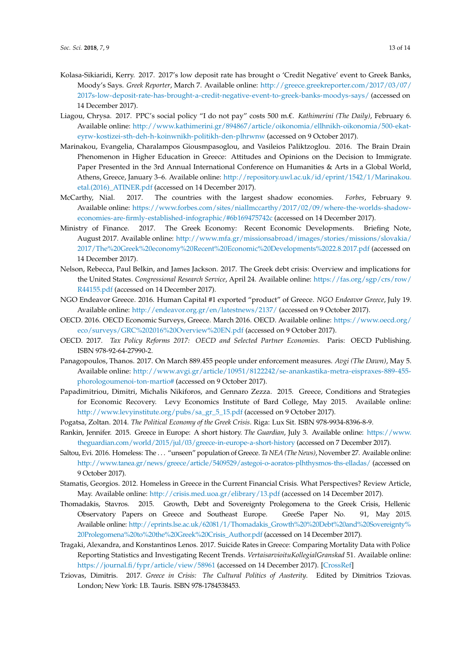- <span id="page-12-7"></span>Kolasa-Sikiaridi, Kerry. 2017. 2017's low deposit rate has brought o 'Credit Negative' event to Greek Banks, Moody's Says. *Greek Reporter*, March 7. Available online: [http://greece.greekreporter.com/2017/03/07/](http://greece.greekreporter.com/2017/03/07/2017s-low-deposit-rate-has-brought-a-credit-negative-event-to-greek-banks-moodys-says/) [2017s-low-deposit-rate-has-brought-a-credit-negative-event-to-greek-banks-moodys-says/](http://greece.greekreporter.com/2017/03/07/2017s-low-deposit-rate-has-brought-a-credit-negative-event-to-greek-banks-moodys-says/) (accessed on 14 December 2017).
- <span id="page-12-15"></span>Liagou, Chrysa. 2017. PPC's social policy "I do not pay" costs 500 m.€. *Kathimerini (The Daily)*, February 6. Available online: [http://www.kathimerini.gr/894867/article/oikonomia/ellhnikh-oikonomia/500-ekat](http://www.kathimerini.gr/894867/article/oikonomia/ellhnikh-oikonomia/500-ekat-eyrw-kostizei-sth-deh-h-koinwnikh-politikh-den-plhrwnw)[eyrw-kostizei-sth-deh-h-koinwnikh-politikh-den-plhrwnw](http://www.kathimerini.gr/894867/article/oikonomia/ellhnikh-oikonomia/500-ekat-eyrw-kostizei-sth-deh-h-koinwnikh-politikh-den-plhrwnw) (accessed on 9 October 2017).
- <span id="page-12-10"></span>Marinakou, Evangelia, Charalampos Giousmpasoglou, and Vasileios Paliktzoglou. 2016. The Brain Drain Phenomenon in Higher Education in Greece: Attitudes and Opinions on the Decision to Immigrate. Paper Presented in the 3rd Annual International Conference on Humanities & Arts in a Global World, Athens, Greece, January 3–6. Available online: [http://repository.uwl.ac.uk/id/eprint/1542/1/Marinakou.](http://repository.uwl.ac.uk/id/eprint/1542/1/Marinakou.etal.(2016)_ATINER.pdf) [etal.\(2016\)\\_ATINER.pdf](http://repository.uwl.ac.uk/id/eprint/1542/1/Marinakou.etal.(2016)_ATINER.pdf) (accessed on 14 December 2017).
- <span id="page-12-8"></span>McCarthy, Nial. 2017. The countries with the largest shadow economies. *Forbes*, February 9. Available online: [https://www.forbes.com/sites/niallmccarthy/2017/02/09/where-the-worlds-shadow](https://www.forbes.com/sites/niallmccarthy/2017/02/09/where-the-worlds-shadow-economies-are-firmly-established-infographic/#6b169475742c)[economies-are-firmly-established-infographic/#6b169475742c](https://www.forbes.com/sites/niallmccarthy/2017/02/09/where-the-worlds-shadow-economies-are-firmly-established-infographic/#6b169475742c) (accessed on 14 December 2017).
- <span id="page-12-4"></span>Ministry of Finance. 2017. The Greek Economy: Recent Economic Developments. Briefing Note, August 2017. Available online: [http://www.mfa.gr/missionsabroad/images/stories/missions/slovakia/](http://www.mfa.gr/missionsabroad/images/stories/missions/slovakia/2017/The%20Greek%20economy%20Recent%20Economic%20Developments%2022.8.2017.pdf) [2017/The%20Greek%20economy%20Recent%20Economic%20Developments%2022.8.2017.pdf](http://www.mfa.gr/missionsabroad/images/stories/missions/slovakia/2017/The%20Greek%20economy%20Recent%20Economic%20Developments%2022.8.2017.pdf) (accessed on 14 December 2017).
- <span id="page-12-2"></span>Nelson, Rebecca, Paul Belkin, and James Jackson. 2017. The Greek debt crisis: Overview and implications for the United States. *Congressional Research Service*, April 24. Available online: [https://fas.org/sgp/crs/row/](https://fas.org/sgp/crs/row/R44155.pdf) [R44155.pdf](https://fas.org/sgp/crs/row/R44155.pdf) (accessed on 14 December 2017).
- <span id="page-12-12"></span>NGO Endeavor Greece. 2016. Human Capital #1 exported "product" of Greece. *NGO Endeavor Greece*, July 19. Available online: <http://endeavor.org.gr/en/latestnews/2137/> (accessed on 9 October 2017).
- <span id="page-12-5"></span>OECD. 2016. OECD Economic Surveys, Greece. March 2016. OECD. Available online: [https://www.oecd.org/](https://www.oecd.org/eco/surveys/GRC%202016%20Overview%20EN.pdf) [eco/surveys/GRC%202016%20Overview%20EN.pdf](https://www.oecd.org/eco/surveys/GRC%202016%20Overview%20EN.pdf) (accessed on 9 October 2017).
- <span id="page-12-17"></span>OECD. 2017. *Tax Policy Reforms 2017: OECD and Selected Partner Economies*. Paris: OECD Publishing. ISBN 978-92-64-27990-2.
- <span id="page-12-16"></span>Panagopoulos, Thanos. 2017. On March 889.455 people under enforcement measures. *Avgi (The Dawn)*, May 5. Available online: [http://www.avgi.gr/article/10951/8122242/se-anankastika-metra-eispraxes-889-455](http://www.avgi.gr/article/10951/8122242/se-anankastika-metra-eispraxes-889-455-phorologoumenoi-ton-martio#) [phorologoumenoi-ton-martio#](http://www.avgi.gr/article/10951/8122242/se-anankastika-metra-eispraxes-889-455-phorologoumenoi-ton-martio#) (accessed on 9 October 2017).
- <span id="page-12-6"></span>Papadimitriou, Dimitri, Michalis Nikiforos, and Gennaro Zezza. 2015. Greece, Conditions and Strategies for Economic Recovery. Levy Economics Institute of Bard College, May 2015. Available online: [http://www.levyinstitute.org/pubs/sa\\_gr\\_5\\_15.pdf](http://www.levyinstitute.org/pubs/sa_gr_5_15.pdf) (accessed on 9 October 2017).
- <span id="page-12-3"></span>Pogatsa, Zoltan. 2014. *The Political Economy of the Greek Crisis*. Riga: Lux Sit. ISBN 978-9934-8396-8-9.
- <span id="page-12-0"></span>Rankin, Jennifer. 2015. Greece in Europe: A short history. *The Guardian*, July 3. Available online: [https://www.](https://www.theguardian.com/world/2015/jul/03/greece-in-europe-a-short-history) [theguardian.com/world/2015/jul/03/greece-in-europe-a-short-history](https://www.theguardian.com/world/2015/jul/03/greece-in-europe-a-short-history) (accessed on 7 December 2017).
- <span id="page-12-14"></span>Saltou, Evi. 2016. Homeless: The . . . "unseen" population of Greece. *Ta NEA (The News)*, November 27. Available online: <http://www.tanea.gr/news/greece/article/5409529/astegoi-o-aoratos-plhthysmos-ths-elladas/> (accessed on 9 October 2017).
- <span id="page-12-9"></span>Stamatis, Georgios. 2012. Homeless in Greece in the Current Financial Crisis. What Perspectives? Review Article, May. Available online: <http://crisis.med.uoa.gr/elibrary/13.pdf> (accessed on 14 December 2017).
- <span id="page-12-1"></span>Thomadakis, Stavros. 2015. Growth, Debt and Sovereignty Prolegomena to the Greek Crisis, Hellenic Observatory Papers on Greece and Southeast Europe. GreeSe Paper No. 91, May 2015. Available online: [http://eprints.lse.ac.uk/62081/1/Thomadakis\\_Growth%20%20Debt%20and%20Sovereignty%](http://eprints.lse.ac.uk/62081/1/Thomadakis_Growth%20%20Debt%20and%20Sovereignty%20Prolegomena%20to%20the%20Greek%20Crisis_Author.pdf) [20Prolegomena%20to%20the%20Greek%20Crisis\\_Author.pdf](http://eprints.lse.ac.uk/62081/1/Thomadakis_Growth%20%20Debt%20and%20Sovereignty%20Prolegomena%20to%20the%20Greek%20Crisis_Author.pdf) (accessed on 14 December 2017).
- <span id="page-12-13"></span>Tragaki, Alexandra, and Konstantinos Lenos. 2017. Suicide Rates in Greece: Comparing Mortality Data with Police Reporting Statistics and Investigating Recent Trends. *VertaisarvioituKollegialGranskad* 51. Available online: <https://journal.fi/fypr/article/view/58961> (accessed on 14 December 2017). [\[CrossRef\]](http://dx.doi.org/10.23979/fypr.58961)
- <span id="page-12-11"></span>Tziovas, Dimitris. 2017. *Greece in Crisis: The Cultural Politics of Austerity*. Edited by Dimitrios Tziovas. London; New York: I.B. Tauris. ISBN 978-1784538453.